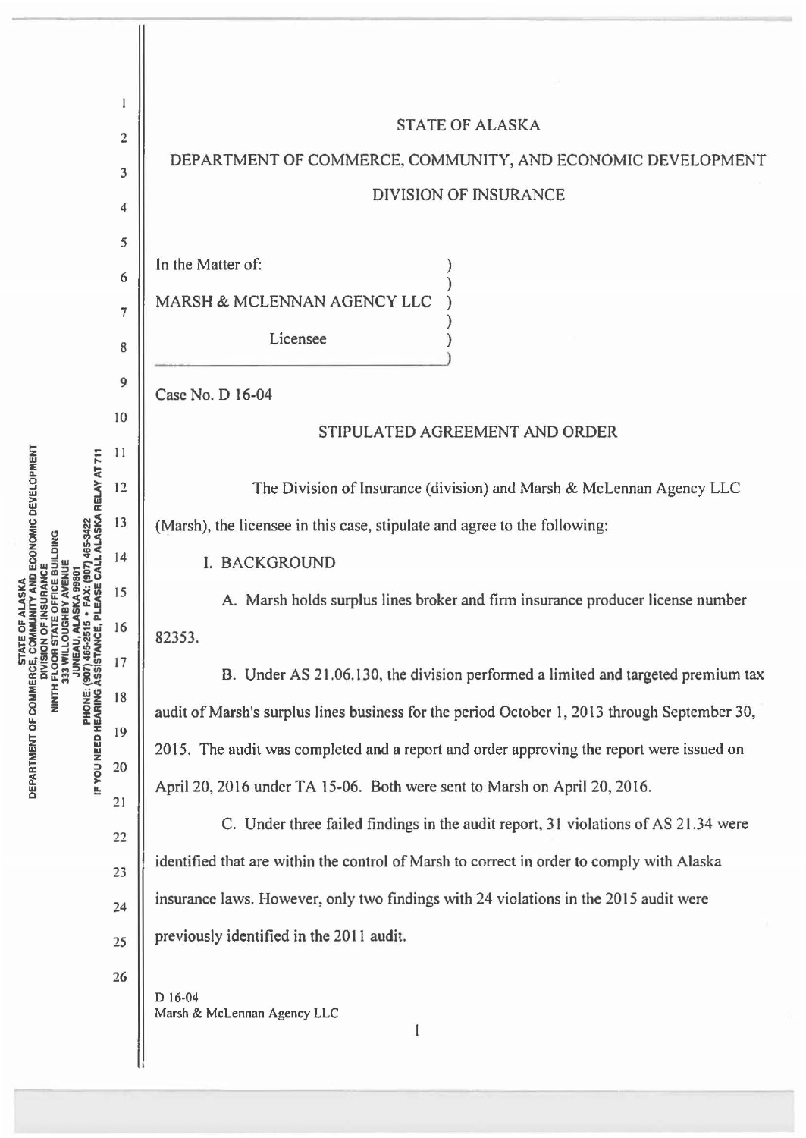|                                                                                                                                | 1                       |                                                                                              |
|--------------------------------------------------------------------------------------------------------------------------------|-------------------------|----------------------------------------------------------------------------------------------|
| ∙ FAX: (907) 465-3422<br>PLEASE CALL ALASKA RELAY AT 711<br><b>PHONE: (907) 465-2515<br/>IF YOU NEED HEARING ASSISTANCE, 1</b> | $\overline{\mathbf{c}}$ | <b>STATE OF ALASKA</b>                                                                       |
|                                                                                                                                | 3                       | DEPARTMENT OF COMMERCE, COMMUNITY, AND ECONOMIC DEVELOPMENT                                  |
|                                                                                                                                | 4                       | <b>DIVISION OF INSURANCE</b>                                                                 |
|                                                                                                                                | 5                       |                                                                                              |
|                                                                                                                                | 6                       | In the Matter of:                                                                            |
|                                                                                                                                | 7                       | MARSH & MCLENNAN AGENCY LLC                                                                  |
|                                                                                                                                | 8                       | Licensee                                                                                     |
|                                                                                                                                | 9                       | Case No. D 16-04                                                                             |
|                                                                                                                                | 10                      | STIPULATED AGREEMENT AND ORDER                                                               |
|                                                                                                                                | 11                      |                                                                                              |
|                                                                                                                                | 12                      | The Division of Insurance (division) and Marsh & McLennan Agency LLC                         |
|                                                                                                                                | 13                      | (Marsh), the licensee in this case, stipulate and agree to the following:                    |
|                                                                                                                                | 14                      | <b>I. BACKGROUND</b>                                                                         |
|                                                                                                                                | 15                      | A. Marsh holds surplus lines broker and firm insurance producer license number               |
|                                                                                                                                | 16                      | 82353.                                                                                       |
|                                                                                                                                | 17                      | B. Under AS 21.06.130, the division performed a limited and targeted premium tax             |
|                                                                                                                                | 18                      | audit of Marsh's surplus lines business for the period October 1, 2013 through September 30, |
|                                                                                                                                | 19                      | 2015. The audit was completed and a report and order approving the report were issued on     |
|                                                                                                                                | 20                      |                                                                                              |
|                                                                                                                                | 21                      | April 20, 2016 under TA 15-06. Both were sent to Marsh on April 20, 2016.                    |
|                                                                                                                                | 22                      | C. Under three failed findings in the audit report, 31 violations of AS 21.34 were           |
|                                                                                                                                | 23                      | identified that are within the control of Marsh to correct in order to comply with Alaska    |
|                                                                                                                                | 24                      | insurance laws. However, only two findings with 24 violations in the 2015 audit were         |
|                                                                                                                                | 25                      | previously identified in the 2011 audit.                                                     |
|                                                                                                                                | 26                      | D 16-04                                                                                      |
|                                                                                                                                |                         | Marsh & McLennan Agency LLC<br>$\mathbf{1}$                                                  |
|                                                                                                                                |                         |                                                                                              |

**STATE OF ALASKA<br>DEPARTMENT OF COMMERCE, COMMUNITY AND ECONOMIC DEVELOPMENT<br>DIVISION OF INSURANCE<br>NINTH FLOOR STATE OFFICE BUILDING<br>333 WILLOUGHBY AVENUE<br>JUNEAU, ALASKA 99801**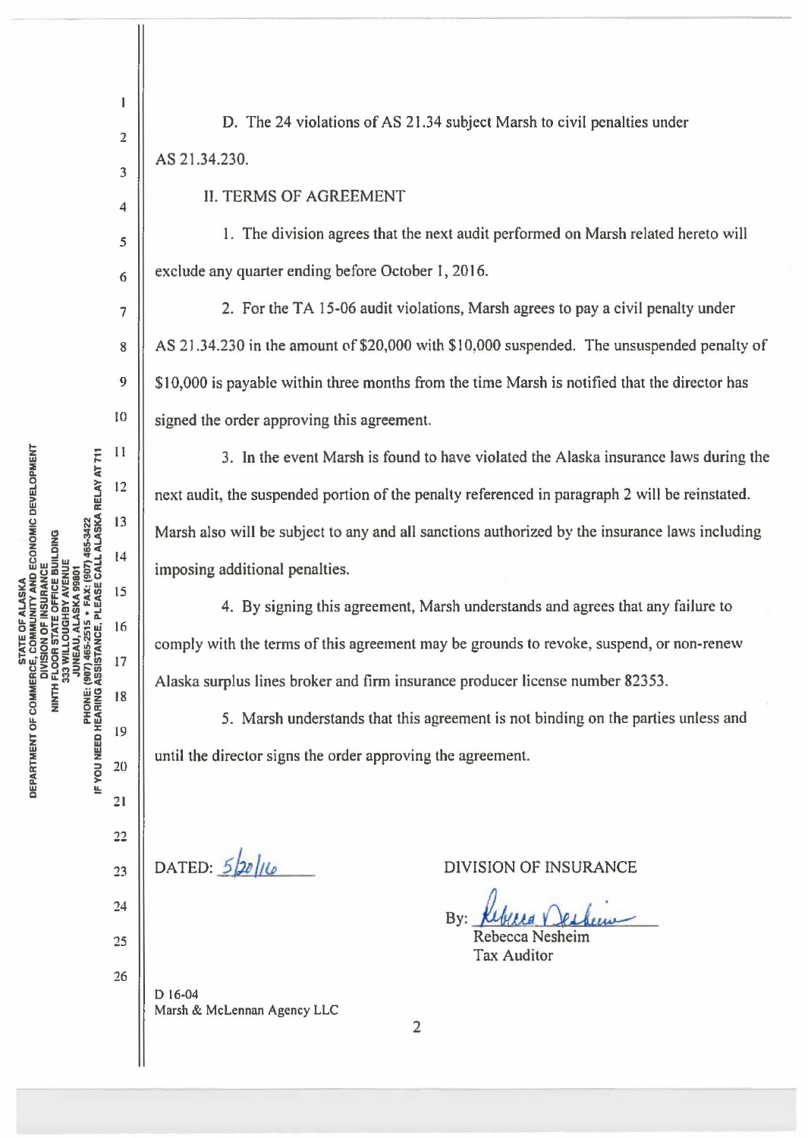$\mathbf{I}$ D. The 24 violations of AS 21.34 subject Marsh to civil penalties under 2 AS 21.34.230. 3 II. TERMS OF AGREEMENT 4 5 6 7 8 9 10 signed the order approving this agreement. DEVELOPMENT<br>A RELAY AT 71<br>A RELAY AT 71  $\mathbf{Q}$  and  $\mathbf{N} \mathbf{S}$  13 ::E !i ~(IJ <sup>0</sup> **DECONCE<br>AVCE<br>AVCE EBUILDIN<br>EBUILDIN 465<br>1907 465<br>CCALL AL<br>CULL LI** 0 imposing additional penalties. ~~CU> zww -  $85.25$ 122<u>0</u>eg.r STATE OF,<br>CE, COMMU<br>IU(SION OF 1<br>IU(SION OF 17 ALA<br>- OOR STANCE, P<br>UNEAU, ALA<br>SISTANCE, P<br>SISTANCE, 1<br>3<br>- 17 U F COMMERC<br>NINTH FL<br>NINTH FL<br>23 33<br>PHONE: (907<br>EARING ASS<br>EARING ASS 0EPARTMENT OF<br>
0 | 0 0 0 10 10<br>
0 10 10 10 10<br>
2 11 22 DATED:  $5/20/10$ 23 24 25 26 D 16-04 Marsh & McLennan Agency LLC

DIVISION OF INSURANCE

By: Kebecca Neskin

Tax Auditor

1. The division agrees that the next audit performed on Marsh related hereto will exclude any quarter ending before October 1, 2016.

2. For the TA 15-06 audit violations, Marsh agrees to pay a civil penalty under AS 21.34.230 in the amount of \$20,000 with \$10,000 suspended. The unsuspended penalty of \$10,000 is payable within three months from the time Marsh is notified that the director has

3. In the event Marsh is found to have violated the Alaska insurance laws during the next audit, the suspended portion of the penalty referenced in paragraph 2 will be reinstated. Marsh also will be subject to any and all sanctions authorized by the insurance laws including

4. By signing this agreement, Marsh understands and agrees that any failure to comply with the terms of this agreement may be grounds to revoke, suspend, or non-renew Alaska surplus lines broker and firm insurance producer license number 82353.

5. Marsh understands that this agreement is not binding on the parties unless and until the director signs the order approving the agreement.

2